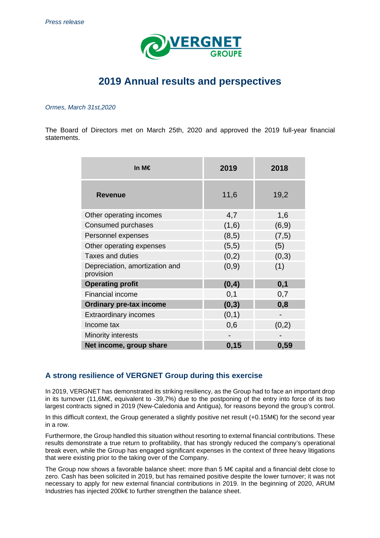

# **2019 Annual results and perspectives**

#### Ormes, March 31st,2020

The Board of Directors met on March 25th, 2020 and approved the 2019 full-year financial statements.

| In M€                                       | 2019   | 2018   |
|---------------------------------------------|--------|--------|
| <b>Revenue</b>                              | 11,6   | 19,2   |
| Other operating incomes                     | 4,7    | 1,6    |
| Consumed purchases                          | (1,6)  | (6, 9) |
| Personnel expenses                          | (8, 5) | (7, 5) |
| Other operating expenses                    | (5,5)  | (5)    |
| <b>Taxes and duties</b>                     | (0,2)  | (0,3)  |
| Depreciation, amortization and<br>provision | (0,9)  | (1)    |
| <b>Operating profit</b>                     | (0,4)  | 0,1    |
| <b>Financial income</b>                     | 0,1    | 0,7    |
| <b>Ordinary pre-tax income</b>              | (0,3)  | 0,8    |
| <b>Extraordinary incomes</b>                | (0,1)  |        |
| Income tax                                  | 0,6    | (0,2)  |
| Minority interests                          |        |        |
| Net income, group share                     | 0,15   | 0,59   |

## **A strong resilience of VERGNET Group during this exercise**

In 2019, VERGNET has demonstrated its striking resiliency, as the Group had to face an important drop in its turnover (11,6M€, equivalent to -39,7%) due to the postponing of the entry into force of its two largest contracts signed in 2019 (New-Caledonia and Antigua), for reasons beyond the group's control.

In this difficult context, the Group generated a slightly positive net result (+0.15M€) for the second year in a row.

Furthermore, the Group handled this situation without resorting to external financial contributions. These results demonstrate a true return to profitability, that has strongly reduced the company's operational break even, while the Group has engaged significant expenses in the context of three heavy litigations that were existing prior to the taking over of the Company.

The Group now shows a favorable balance sheet: more than 5 M€ capital and a financial debt close to zero. Cash has been solicited in 2019, but has remained positive despite the lower turnover; it was not necessary to apply for new external financial contributions in 2019. In the beginning of 2020, ARUM Industries has injected 200k€ to further strengthen the balance sheet.